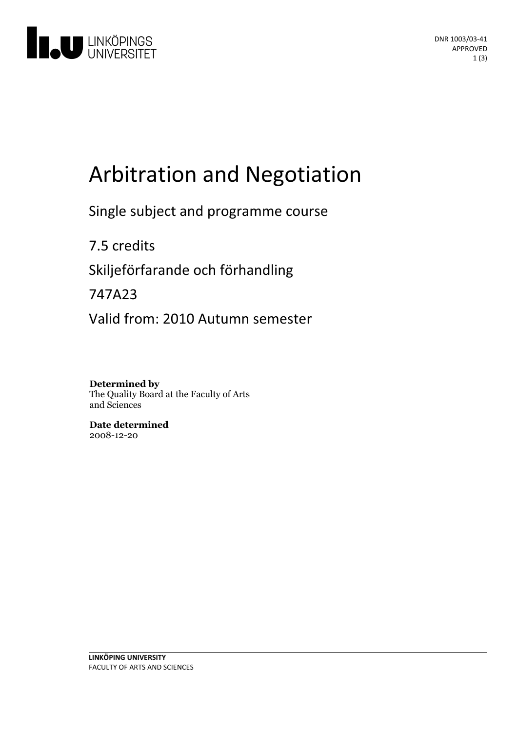

# Arbitration and Negotiation

Single subject and programme course

7.5 credits Skiljeförfarande och förhandling 747A23

Valid from: 2010 Autumn semester

**Determined by** The Quality Board at the Faculty of Arts and Sciences

**Date determined** 2008-12-20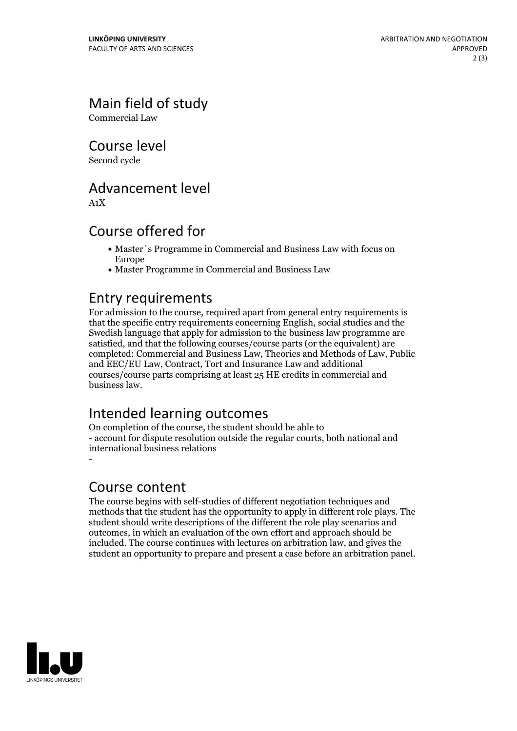Main field of study

Commercial Law

Course level

Second cycle

## Advancement level

A1X

## Course offered for

- Master´s Programme in Commercial and Business Law with focus on Europe
- Master Programme in Commercial and Business Law

## Entry requirements

For admission to the course, required apart from general entry requirements is that the specific entry requirements concerning English, social studies and the Swedish language that apply for admission to the business law programme are satisfied, and that the following courses/course parts (or the equivalent) are completed: Commercial and Business Law, Theories and Methods of Law, Public and EEC/EU Law, Contract, Tort and Insurance Law and additional courses/course parts comprising at least 25 HE credits in commercial and business law.

## Intended learning outcomes

On completion of the course, the student should be able to - account for dispute resolution outside the regular courts, both national and international business relations -

#### Course content

The course begins with self-studies of different negotiation techniques and methods that the student has the opportunity to apply in different role plays. The student should write descriptions of the different the role play scenarios and outcomes, in which an evaluation of the own effort and approach should be included. The course continues with lectures on arbitration law, and gives the student an opportunity to prepare and present a case before an arbitration panel.